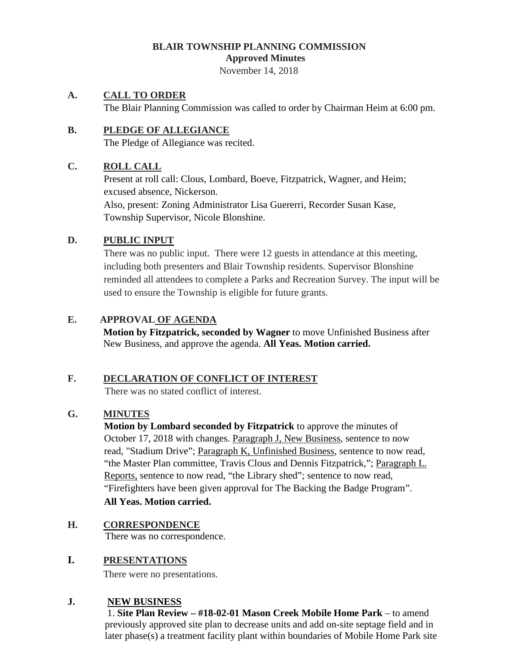### **BLAIR TOWNSHIP PLANNING COMMISSION Approved Minutes**

November 14, 2018

### **A. CALL TO ORDER**

The Blair Planning Commission was called to order by Chairman Heim at 6:00 pm.

# **B. PLEDGE OF ALLEGIANCE**

The Pledge of Allegiance was recited.

## **C. ROLL CALL**

Present at roll call: Clous, Lombard, Boeve, Fitzpatrick, Wagner, and Heim; excused absence, Nickerson.

Also, present: Zoning Administrator Lisa Guererri, Recorder Susan Kase, Township Supervisor, Nicole Blonshine.

## **D. PUBLIC INPUT**

There was no public input. There were 12 guests in attendance at this meeting, including both presenters and Blair Township residents. Supervisor Blonshine reminded all attendees to complete a Parks and Recreation Survey. The input will be used to ensure the Township is eligible for future grants.

### **E. APPROVAL OF AGENDA**

**Motion by Fitzpatrick, seconded by Wagner** to move Unfinished Business after New Business, and approve the agenda. **All Yeas. Motion carried.**

### **F. DECLARATION OF CONFLICT OF INTEREST**

There was no stated conflict of interest.

### **G. MINUTES**

**Motion by Lombard seconded by Fitzpatrick** to approve the minutes of October 17, 2018 with changes. Paragraph J, New Business, sentence to now read, "Stadium Drive"; Paragraph K, Unfinished Business, sentence to now read, "the Master Plan committee, Travis Clous and Dennis Fitzpatrick,"; Paragraph L. Reports, sentence to now read, "the Library shed"; sentence to now read, "Firefighters have been given approval for The Backing the Badge Program". **All Yeas. Motion carried.**

**H. CORRESPONDENCE** There was no correspondence.

# **I. PRESENTATIONS**

There were no presentations.

# **J. NEW BUSINESS**

1. **Site Plan Review – #18-02-01 Mason Creek Mobile Home Park** – to amend previously approved site plan to decrease units and add on-site septage field and in later phase(s) a treatment facility plant within boundaries of Mobile Home Park site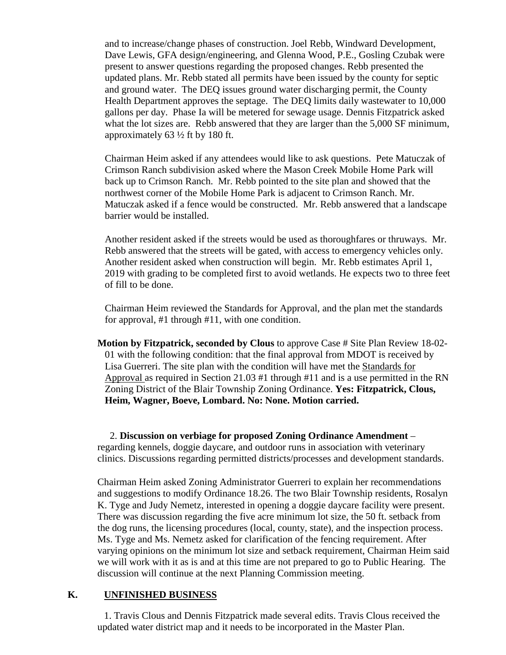and to increase/change phases of construction. Joel Rebb, Windward Development, Dave Lewis, GFA design/engineering, and Glenna Wood, P.E., Gosling Czubak were present to answer questions regarding the proposed changes. Rebb presented the updated plans. Mr. Rebb stated all permits have been issued by the county for septic and ground water. The DEQ issues ground water discharging permit, the County Health Department approves the septage. The DEQ limits daily wastewater to 10,000 gallons per day. Phase Ia will be metered for sewage usage. Dennis Fitzpatrick asked what the lot sizes are. Rebb answered that they are larger than the 5,000 SF minimum, approximately 63 ½ ft by 180 ft.

Chairman Heim asked if any attendees would like to ask questions. Pete Matuczak of Crimson Ranch subdivision asked where the Mason Creek Mobile Home Park will back up to Crimson Ranch. Mr. Rebb pointed to the site plan and showed that the northwest corner of the Mobile Home Park is adjacent to Crimson Ranch. Mr. Matuczak asked if a fence would be constructed. Mr. Rebb answered that a landscape barrier would be installed.

Another resident asked if the streets would be used as thoroughfares or thruways. Mr. Rebb answered that the streets will be gated, with access to emergency vehicles only. Another resident asked when construction will begin. Mr. Rebb estimates April 1, 2019 with grading to be completed first to avoid wetlands. He expects two to three feet of fill to be done.

Chairman Heim reviewed the Standards for Approval, and the plan met the standards for approval, #1 through #11, with one condition.

**Motion by Fitzpatrick, seconded by Clous** to approve Case # Site Plan Review 18-02- 01 with the following condition: that the final approval from MDOT is received by Lisa Guerreri. The site plan with the condition will have met the Standards for Approval as required in Section 21.03 #1 through #11 and is a use permitted in the RN Zoning District of the Blair Township Zoning Ordinance. **Yes: Fitzpatrick, Clous, Heim, Wagner, Boeve, Lombard. No: None. Motion carried.**

 2. **Discussion on verbiage for proposed Zoning Ordinance Amendment** – regarding kennels, doggie daycare, and outdoor runs in association with veterinary clinics. Discussions regarding permitted districts/processes and development standards.

Chairman Heim asked Zoning Administrator Guerreri to explain her recommendations and suggestions to modify Ordinance 18.26. The two Blair Township residents, Rosalyn K. Tyge and Judy Nemetz, interested in opening a doggie daycare facility were present. There was discussion regarding the five acre minimum lot size, the 50 ft. setback from the dog runs, the licensing procedures (local, county, state), and the inspection process. Ms. Tyge and Ms. Nemetz asked for clarification of the fencing requirement. After varying opinions on the minimum lot size and setback requirement, Chairman Heim said we will work with it as is and at this time are not prepared to go to Public Hearing. The discussion will continue at the next Planning Commission meeting.

#### **K. UNFINISHED BUSINESS**

1. Travis Clous and Dennis Fitzpatrick made several edits. Travis Clous received the updated water district map and it needs to be incorporated in the Master Plan.